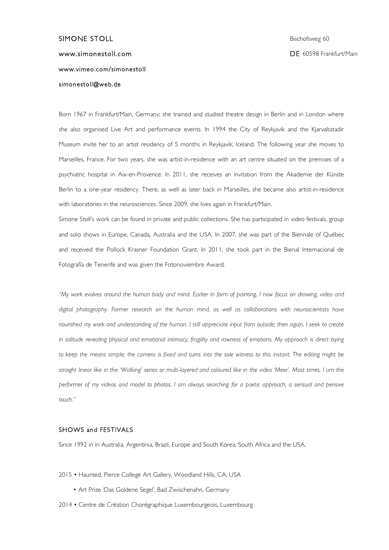# SIMONE STOLL Bischofsweg 60 www.simonestoll.com and the state of the state of the DE 60598 Frankfurt/Main www.vimeo.com/simonestoll simonestoll@web.de

Born 1967 in Frankfurt/Main, Germany; she trained and studied theatre design in Berlin and in London where she also organised Live Art and performance events. In 1994 the City of Reykjavik and the Kjarvalsstadir Museum invite her to an artist residency of 5 months in Reykjavik, Iceland. The following year she moves to Marseilles, France. For two years, she was artist-in-residence with an art centre situated on the premises of a psychiatric hospital in Aix-en-Provence. In 2011, she receives an invitation from the Akademie der Künste Berlin to a one-year residency. There, as well as later back in Marseilles, she became also artist-in-residence with laboratories in the neurosciences. Since 2009, she lives again in Frankfurt/Main.

Simone Stoll's work can be found in private and public collections. She has participated in video festivals, group and solo shows in Europe, Canada, Australia and the USA. In 2007, she was part of the Biennale of Québec and received the Pollock Krasner Foundation Grant. In 2011, she took part in the Bienal Internacional de Fotografía de Tenerife and was given the Fotonoviembre Award.

*"My work evolves around the human body and mind. Earlier in form of painting, I now focus on drawing, video and digital photography. Former research on the human mind, as well as collaborations with neuroscientists have nourished my work and understanding of the human. I still appreciate input from outside; then again, I seek to create in solitude revealing physical and emotional intimacy, fragility and rawness of emotions. My approach is direct trying*  to keep the means simple; the camera is fixed and turns into the sole witness to this instant. The editing might be *straight linear like in the 'Walking' series or multi-layered and coloured like in the video 'Meer'. Most times, I am the performer of my videos and model to photos. I am always searching for a poetic approach, a sensual and pensive touch."*

#### SHOWS and FESTIVALS

Since 1992 in in Australia, Argentinia, Brazil, Europe and South Korea, South Africa and the USA.

- 2015 Haunted, Pierce College Art Gallery, Woodland Hills, CA, USA
	- Art Prize 'Das Goldene Segel', Bad Zwischenahn, Germany
- 2014 Centre de Création Chorégraphique Luxembourgeois, Luxembourg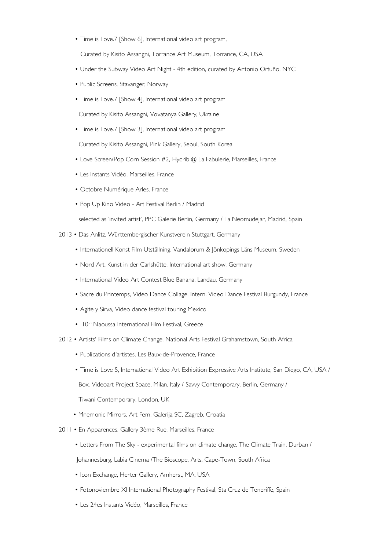• Time is Love.7 [Show 6], International video art program,

Curated by Kisito Assangni, Torrance Art Museum, Torrance, CA, USA

- Under the Subway Video Art Night 4th edition, curated by Antonio Ortuño, NYC
- Public Screens, Stavanger, Norway
- Time is Love.7 [Show 4], International video art program

Curated by Kisito Assangni, Vovatanya Gallery, Ukraine

• Time is Love.7 [Show 3], International video art program

Curated by Kisito Assangni, Pink Gallery, Seoul, South Korea

- Love Screen/Pop Corn Session #2, Hydrib @ La Fabulerie, Marseilles, France
- Les Instants Vidéo, Marseilles, France
- Octobre Numérique Arles, France
- Pop Up Kino Video Art Festival Berlin / Madrid

selected as 'invited artist', PPC Galerie Berlin, Germany / La Neomudejar, Madrid, Spain

- 2013 Das Anlitz, Württembergischer Kunstverein Stuttgart, Germany
	- Internationell Konst Film Utställning, Vandalorum & Jönkopings Läns Museum, Sweden
	- Nord Art, Kunst in der Carlshütte, International art show, Germany
	- International Video Art Contest Blue Banana, Landau, Germany
	- Sacre du Printemps, Video Dance Collage, Intern. Video Dance Festival Burgundy, France
	- Agite y Sirva, Video dance festival touring Mexico
	- 10<sup>th</sup> Naoussa International Film Festival, Greece
- 2012 Artists' Films on Climate Change, National Arts Festival Grahamstown, South Africa
	- Publications d'artistes, Les Baux-de-Provence, France
	- Time is Love 5, International Video Art Exhibition Expressive Arts Institute, San Diego, CA, USA /

Box. Videoart Project Space, Milan, Italy / Savvy Contemporary, Berlin, Germany /

Tiwani Contemporary, London, UK

- Mnemonic Mirrors, Art Fem, Galerija SC, Zagreb, Croatia
- 2011 En Apparences, Gallery 3ème Rue, Marseilles, France
	- Letters From The Sky experimental films on climate change, The Climate Train, Durban /

Johannesburg, Labia Cinema /The Bioscope, Arts, Cape-Town, South Africa

- Icon Exchange, Herter Gallery, Amherst, MA, USA
- Fotonoviembre XI International Photography Festival, Sta Cruz de Teneriffe, Spain
- Les 24es Instants Vidéo, Marseilles, France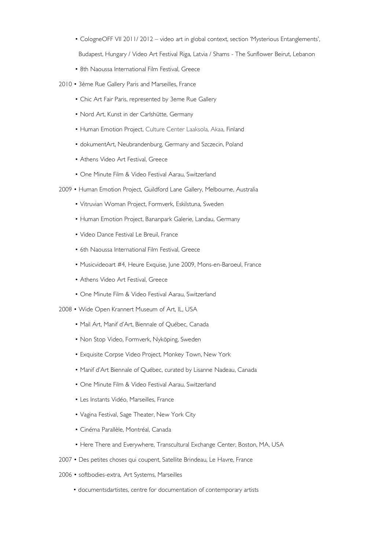• CologneOFF VII 2011/ 2012 – video art in global context, section 'Mysterious Entanglements',

Budapest, Hungary / Video Art Festival Riga, Latvia / Shams - The Sunflower Beirut, Lebanon

- 8th Naoussa International Film Festival, Greece
- 2010 3ème Rue Gallery Paris and Marseilles, France
	- Chic Art Fair Paris, represented by 3eme Rue Gallery
	- Nord Art, Kunst in der Carlshütte, Germany
	- Human Emotion Project, Culture Center Laaksola, Akaa, Finland
	- dokumentArt, Neubrandenburg, Germany and Szczecin, Poland
	- Athens Video Art Festival, Greece
	- One Minute Film & Video Festival Aarau, Switzerland
- 2009 Human Emotion Project, Guildford Lane Gallery, Melbourne, Australia
	- Vitruvian Woman Project, Formverk, Eskilstuna, Sweden
	- Human Emotion Project, Bananpark Galerie, Landau, Germany
	- Video Dance Festival Le Breuil, France
	- 6th Naoussa International Film Festival, Greece
	- Musicvideoart #4, Heure Exquise, June 2009, Mons-en-Baroeul, France
	- Athens Video Art Festival, Greece
	- One Minute Film & Video Festival Aarau, Switzerland
- 2008 Wide Open Krannert Museum of Art, IL, USA
	- Mail Art, Manif d'Art, Biennale of Québec, Canada
	- Non Stop Video, Formverk, Nyköping, Sweden
	- Exquisite Corpse Video Project, Monkey Town, New York
	- Manif d'Art Biennale of Québec, curated by Lisanne Nadeau, Canada
	- One Minute Film & Video Festival Aarau, Switzerland
	- Les Instants Vidéo, Marseilles, France
	- Vagina Festival, Sage Theater, New York City
	- Cinéma Parallèle, Montréal, Canada
	- Here There and Everywhere, Transcultural Exchange Center, Boston, MA, USA
- 2007 Des petites choses qui coupent, Satellite Brindeau, Le Havre, France
- 2006 softbodies-extra, Art Systems, Marseilles
	- documentsdartistes, centre for documentation of contemporary artists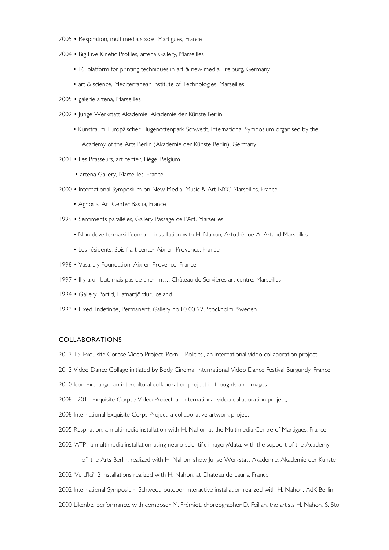- 2005 Respiration, multimedia space, Martigues, France
- 2004 Big Live Kinetic Profiles, artena Gallery, Marseilles
	- L6, platform for printing techniques in art & new media, Freiburg, Germany
	- art & science, Mediterranean Institute of Technologies, Marseilles
- 2005 galerie artena, Marseilles
- 2002 Junge Werkstatt Akademie, Akademie der Künste Berlin
	- Kunstraum Europäischer Hugenottenpark Schwedt, International Symposium organised by the Academy of the Arts Berlin (Akademie der Künste Berlin), Germany
- 2001 Les Brasseurs, art center, Liège, Belgium
	- artena Gallery, Marseilles, France
- 2000 International Symposium on New Media, Music & Art NYC-Marseilles, France
	- Agnosia, Art Center Bastia, France
- 1999 Sentiments parallèles, Gallery Passage de l'Art, Marseilles
	- Non deve fermarsi l'uomo… installation with H. Nahon, Artothèque A. Artaud Marseilles
	- Les résidents, 3bis f art center Aix-en-Provence, France
- 1998 Vasarely Foundation, Aix-en-Provence, France
- 1997 Il y a un but, mais pas de chemin…, Château de Servières art centre, Marseilles
- 1994 Gallery Portid, Hafnarfjördur, Iceland
- 1993 Fixed, Indefinite, Permanent, Gallery no.10 00 22, Stockholm, Sweden

## COLLABORATIONS

- 2013-15 Exquisite Corpse Video Project 'Porn Politics', an international video collaboration project
- 2013 Video Dance Collage initiated by Body Cinema, International Video Dance Festival Burgundy, France
- 2010 Icon Exchange, an intercultural collaboration project in thoughts and images
- 2008 2011 Exquisite Corpse Video Project, an international video collaboration project,
- 2008 International Exquisite Corps Project, a collaborative artwork project
- 2005 Respiration, a multimedia installation with H. Nahon at the Multimedia Centre of Martigues, France
- 2002 'ATP', a multimedia installation using neuro-scientific imagery/data; with the support of the Academy
- of the Arts Berlin, realized with H. Nahon, show Junge Werkstatt Akademie, Akademie der Künste 2002 'Vu d'Ici', 2 installations realized with H. Nahon, at Chateau de Lauris, France
- 2002 International Symposium Schwedt, outdoor interactive installation realized with H. Nahon, AdK Berlin
- 2000 Likenbe, performance, with composer M. Frémiot, choreographer D. Feillan, the artists H. Nahon, S. Stoll